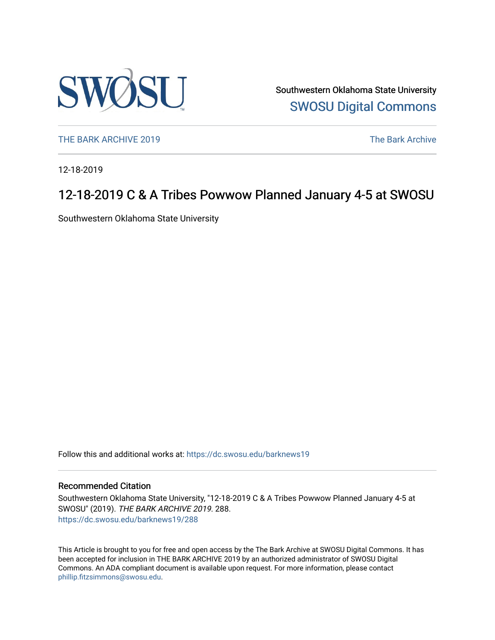

Southwestern Oklahoma State University [SWOSU Digital Commons](https://dc.swosu.edu/) 

[THE BARK ARCHIVE 2019](https://dc.swosu.edu/barknews19) The Bark Archive

12-18-2019

## 12-18-2019 C & A Tribes Powwow Planned January 4-5 at SWOSU

Southwestern Oklahoma State University

Follow this and additional works at: [https://dc.swosu.edu/barknews19](https://dc.swosu.edu/barknews19?utm_source=dc.swosu.edu%2Fbarknews19%2F288&utm_medium=PDF&utm_campaign=PDFCoverPages)

#### Recommended Citation

Southwestern Oklahoma State University, "12-18-2019 C & A Tribes Powwow Planned January 4-5 at SWOSU" (2019). THE BARK ARCHIVE 2019. 288. [https://dc.swosu.edu/barknews19/288](https://dc.swosu.edu/barknews19/288?utm_source=dc.swosu.edu%2Fbarknews19%2F288&utm_medium=PDF&utm_campaign=PDFCoverPages)

This Article is brought to you for free and open access by the The Bark Archive at SWOSU Digital Commons. It has been accepted for inclusion in THE BARK ARCHIVE 2019 by an authorized administrator of SWOSU Digital Commons. An ADA compliant document is available upon request. For more information, please contact [phillip.fitzsimmons@swosu.edu](mailto:phillip.fitzsimmons@swosu.edu).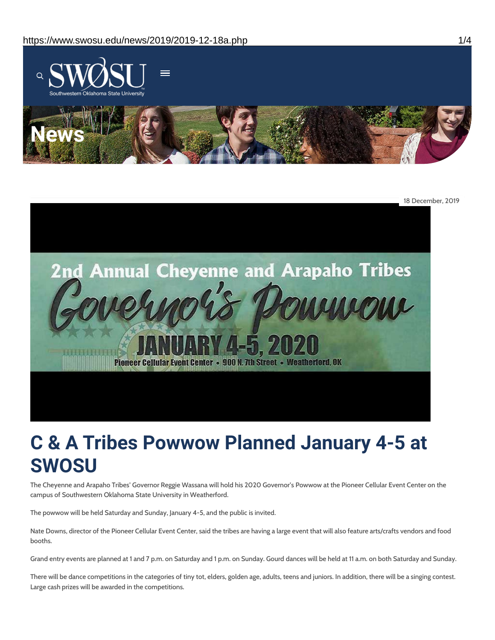



# **C & A Tribes Powwow Planned January 4-5 at SWOSU**

The Cheyenne and Arapaho Tribes' Governor Reggie Wassana will hold his 2020 Governor's Powwow at the Pioneer Cellular Event Center on the campus of Southwestern Oklahoma State University in Weatherford.

The powwow will be held Saturday and Sunday, January 4-5, and the public is invited.

Nate Downs, director of the Pioneer Cellular Event Center, said the tribes are having a large event that will also feature arts/crafts vendors and food booths.

Grand entry events are planned at 1 and 7 p.m. on Saturday and 1 p.m. on Sunday. Gourd dances will be held at 11 a.m. on both Saturday and Sunday.

There will be dance competitions in the categories of tiny tot, elders, golden age, adults, teens and juniors. In addition, there will be a singing contest. Large cash prizes will be awarded in the competitions.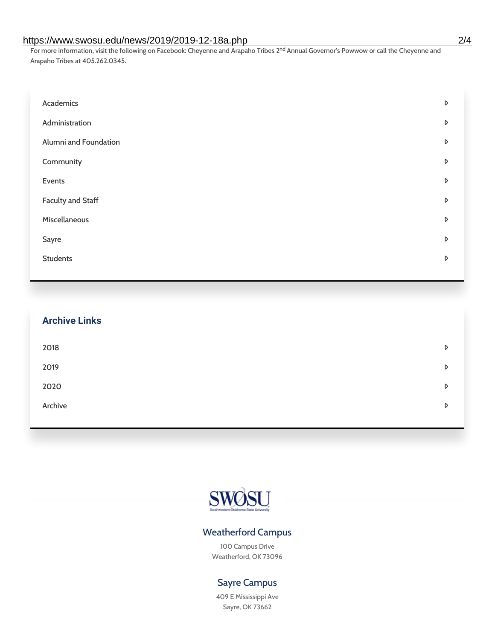#### https://www.swosu.edu/news/2019/2019-12-18a.php 2/4

For more information, visit the following on Facebook: Cheyenne and Arapaho Tribes 2<sup>nd</sup> Annual Governor's Powwow or call the Cheyenne and Arapaho Tribes at 405.262.0345.

| Academics             | D |
|-----------------------|---|
| Administration        | D |
| Alumni and Foundation | D |
| Community             | D |
| Events                | D |
| Faculty and Staff     | D |
| Miscellaneous         | D |
| Sayre                 | D |
| <b>Students</b>       | D |

| <b>Archive Links</b> |   |
|----------------------|---|
| 2018                 | D |
| 2019                 | D |
| 2020                 | D |
| Archive              | D |



### Weatherford Campus

100 Campus Drive Weatherford, OK 73096

#### Sayre Campus

409 E Mississippi Ave Sayre, OK 73662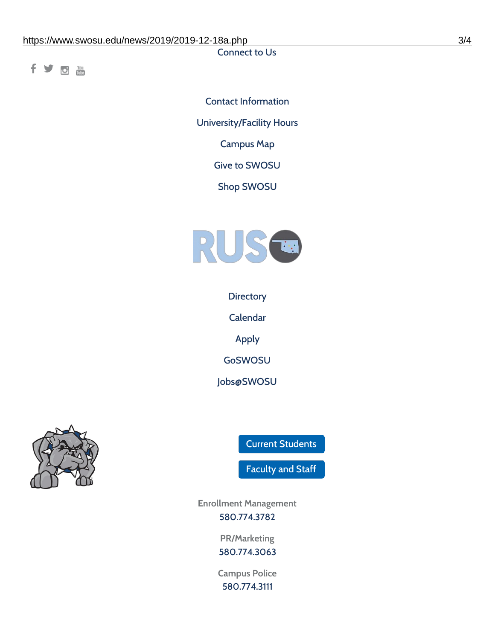Connect to Us

fyom

Contact [Information](https://www.swosu.edu/about/contact.php) [University/Facility](https://www.swosu.edu/about/operating-hours.php) Hours [Campus](https://map.concept3d.com/?id=768#!ct/10964,10214,10213,10212,10205,10204,10203,10202,10136,10129,10128,0,31226,10130,10201,10641,0) Map Give to [SWOSU](https://standingfirmly.com/donate) Shop [SWOSU](https://shopswosu.merchorders.com/)



**[Directory](https://www.swosu.edu/directory/index.php)** 

[Calendar](https://eventpublisher.dudesolutions.com/swosu/)

[Apply](https://www.swosu.edu/admissions/apply-to-swosu.php)

[GoSWOSU](https://qlsso.quicklaunchsso.com/home/1267)

[Jobs@SWOSU](https://swosu.csod.com/ux/ats/careersite/1/home?c=swosu)



Current [Students](https://bulldog.swosu.edu/index.php)

[Faculty](https://bulldog.swosu.edu/faculty-staff/index.php) and Staff

**Enrollment Management** [580.774.3782](tel:5807743782)

> **PR/Marketing** [580.774.3063](tel:5807743063)

**Campus Police** [580.774.3111](tel:5807743111)